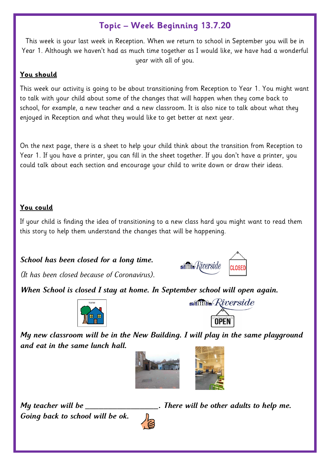## **Topic – Week Beginning 13.7.20**

This week is your last week in Reception. When we return to school in September you will be in Year 1. Although we haven't had as much time together as I would like, we have had a wonderful year with all of you.

## **You should**

This week our activity is going to be about transitioning from Reception to Year 1. You might want to talk with your child about some of the changes that will happen when they come back to school, for example, a new teacher and a new classroom. It is also nice to talk about what they enjoyed in Reception and what they would like to get better at next year.

On the next page, there is a sheet to help your child think about the transition from Reception to Year 1. If you have a printer, you can fill in the sheet together. If you don't have a printer, you could talk about each section and encourage your child to write down or draw their ideas.

## **You could**

If your child is finding the idea of transitioning to a new class hard you might want to read them this story to help them understand the changes that will be happening.

*School has been closed for a long time.* 



*(It has been closed because of Coronavirus).* 

*When School is closed I stay at home. In September school will open again.*





*My new classroom will be in the New Building. I will play in the same playground and eat in the same lunch hall.* 



*Going back to school will be ok.* 



*My teacher will be \_\_\_\_\_\_\_\_\_\_\_\_\_\_\_\_. There will be other adults to help me.*